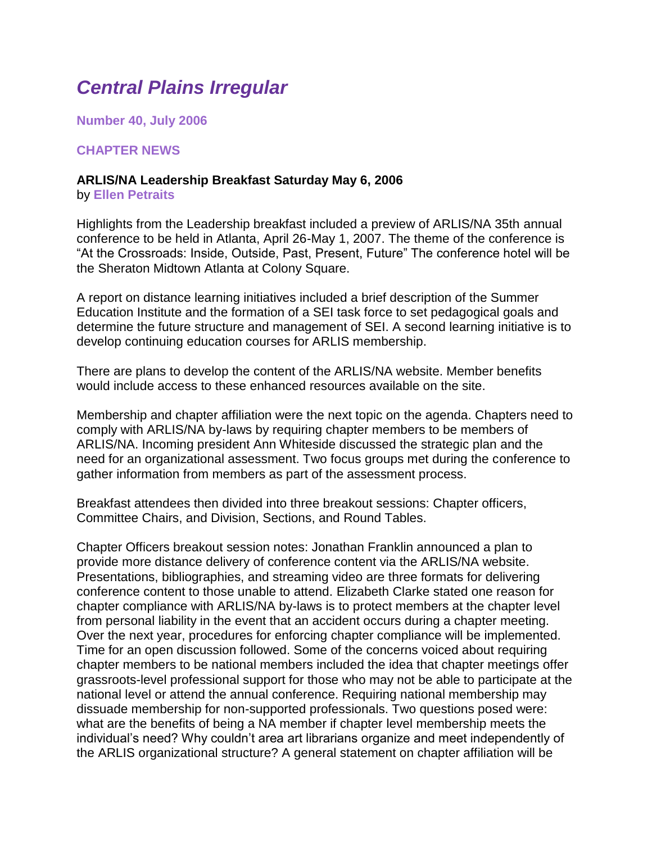# *Central Plains Irregular*

**Number 40, July 2006**

#### **CHAPTER NEWS**

# **ARLIS/NA Leadership Breakfast Saturday May 6, 2006**

by **Ellen Petraits**

Highlights from the Leadership breakfast included a preview of ARLIS/NA 35th annual conference to be held in Atlanta, April 26-May 1, 2007. The theme of the conference is "At the Crossroads: Inside, Outside, Past, Present, Future" The conference hotel will be the Sheraton Midtown Atlanta at Colony Square.

A report on distance learning initiatives included a brief description of the Summer Education Institute and the formation of a SEI task force to set pedagogical goals and determine the future structure and management of SEI. A second learning initiative is to develop continuing education courses for ARLIS membership.

There are plans to develop the content of the ARLIS/NA website. Member benefits would include access to these enhanced resources available on the site.

Membership and chapter affiliation were the next topic on the agenda. Chapters need to comply with ARLIS/NA by-laws by requiring chapter members to be members of ARLIS/NA. Incoming president Ann Whiteside discussed the strategic plan and the need for an organizational assessment. Two focus groups met during the conference to gather information from members as part of the assessment process.

Breakfast attendees then divided into three breakout sessions: Chapter officers, Committee Chairs, and Division, Sections, and Round Tables.

Chapter Officers breakout session notes: Jonathan Franklin announced a plan to provide more distance delivery of conference content via the ARLIS/NA website. Presentations, bibliographies, and streaming video are three formats for delivering conference content to those unable to attend. Elizabeth Clarke stated one reason for chapter compliance with ARLIS/NA by-laws is to protect members at the chapter level from personal liability in the event that an accident occurs during a chapter meeting. Over the next year, procedures for enforcing chapter compliance will be implemented. Time for an open discussion followed. Some of the concerns voiced about requiring chapter members to be national members included the idea that chapter meetings offer grassroots-level professional support for those who may not be able to participate at the national level or attend the annual conference. Requiring national membership may dissuade membership for non-supported professionals. Two questions posed were: what are the benefits of being a NA member if chapter level membership meets the individual's need? Why couldn't area art librarians organize and meet independently of the ARLIS organizational structure? A general statement on chapter affiliation will be